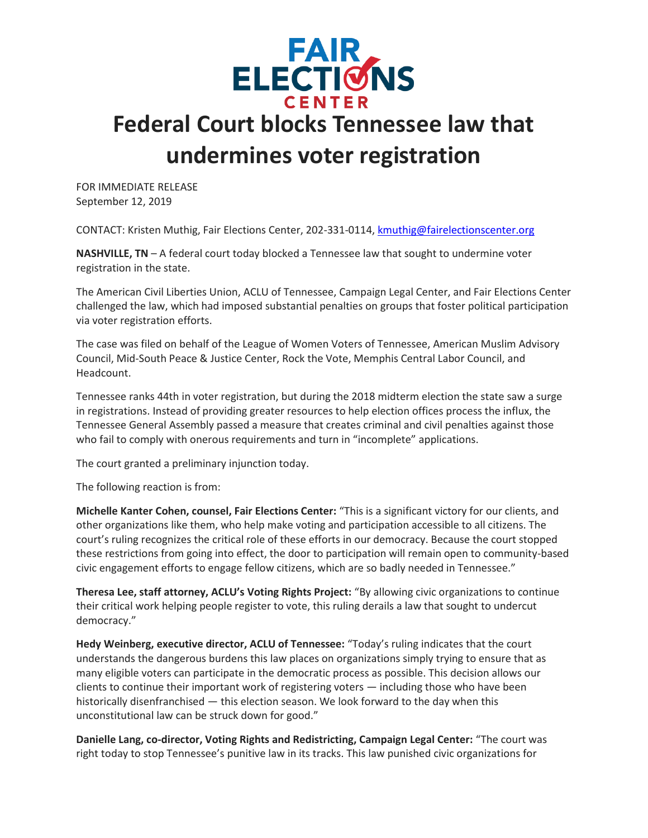

## **Federal Court blocks Tennessee law that undermines voter registration**

FOR IMMEDIATE RELEASE September 12, 2019

CONTACT: Kristen Muthig, Fair Elections Center, 202-331-0114, [kmuthig@fairelectionscenter.org](https://default.salsalabs.org/Tf5f9bf87-30ae-4b4c-a5e8-6a6d9f42c83c/6c15b2b7-1d45-46da-95b3-d19091573420)

**NASHVILLE, TN** – A federal court today blocked a Tennessee law that sought to undermine voter registration in the state.

The American Civil Liberties Union, ACLU of Tennessee, Campaign Legal Center, and Fair Elections Center challenged the law, which had imposed substantial penalties on groups that foster political participation via voter registration efforts.

The case was filed on behalf of the League of Women Voters of Tennessee, American Muslim Advisory Council, Mid-South Peace & Justice Center, Rock the Vote, Memphis Central Labor Council, and Headcount.

Tennessee ranks 44th in voter registration, but during the 2018 midterm election the state saw a surge in registrations. Instead of providing greater resources to help election offices process the influx, the Tennessee General Assembly passed a measure that creates criminal and civil penalties against those who fail to comply with onerous requirements and turn in "incomplete" applications.

The court granted a preliminary injunction today.

The following reaction is from:

**Michelle Kanter Cohen, counsel, Fair Elections Center:** "This is a significant victory for our clients, and other organizations like them, who help make voting and participation accessible to all citizens. The court's ruling recognizes the critical role of these efforts in our democracy. Because the court stopped these restrictions from going into effect, the door to participation will remain open to community-based civic engagement efforts to engage fellow citizens, which are so badly needed in Tennessee."

**Theresa Lee, staff attorney, ACLU's Voting Rights Project:** "By allowing civic organizations to continue their critical work helping people register to vote, this ruling derails a law that sought to undercut democracy."

**Hedy Weinberg, executive director, ACLU of Tennessee:** "Today's ruling indicates that the court understands the dangerous burdens this law places on organizations simply trying to ensure that as many eligible voters can participate in the democratic process as possible. This decision allows our clients to continue their important work of registering voters — including those who have been historically disenfranchised — this election season. We look forward to the day when this unconstitutional law can be struck down for good."

**Danielle Lang, co-director, Voting Rights and Redistricting, Campaign Legal Center:** "The court was right today to stop Tennessee's punitive law in its tracks. This law punished civic organizations for